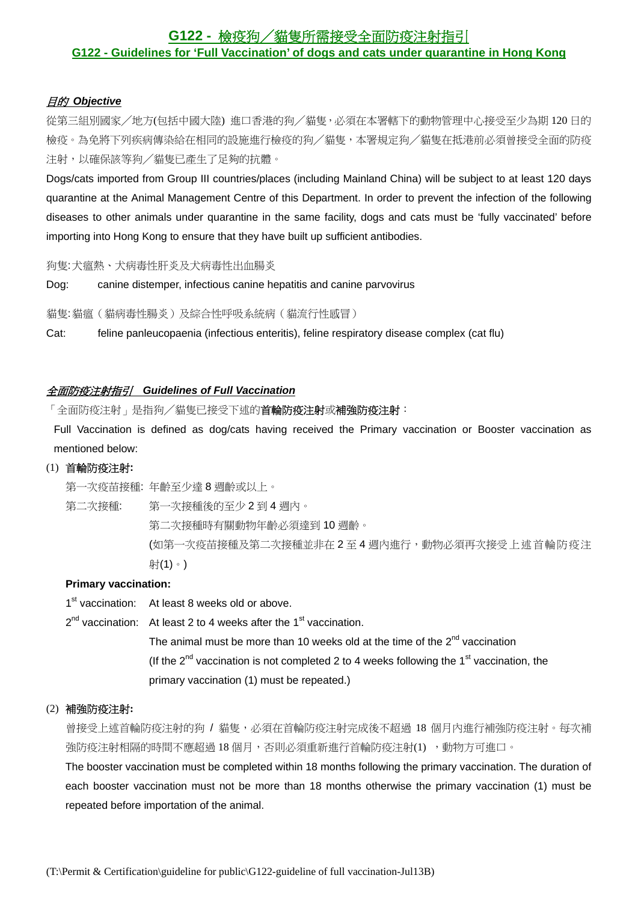# **G122 -** 檢疫狗╱貓隻所需接受全面防疫注射指引 **G122 - Guidelines for 'Full Vaccination' of dogs and cats under quarantine in Hong Kong**

# 目的 *Objective*

從第三組別國家╱地方(包括中國大陸) 進口香港的狗╱貓隻,必須在本署轄下的動物管理中心接受至少為期 120 日的 檢疫。為免將下列疾病傳染給在相同的設施進行檢疫的狗╱貓隻,本署規定狗╱貓隻在抵港前必須曾接受全面的防疫 注射,以確保該等狗╱貓隻已產生了足夠的抗體。

Dogs/cats imported from Group III countries/places (including Mainland China) will be subject to at least 120 days quarantine at the Animal Management Centre of this Department. In order to prevent the infection of the following diseases to other animals under quarantine in the same facility, dogs and cats must be 'fully vaccinated' before importing into Hong Kong to ensure that they have built up sufficient antibodies.

狗隻: 犬瘟熱、犬病毒性肝炎及犬病毒性出血腸炎

Dog: canine distemper, infectious canine hepatitis and canine parvovirus

貓隻: 貓瘟(貓病毒性腸炎)及綜合性呼吸系統病(貓流行性感冒)

Cat: feline panleucopaenia (infectious enteritis), feline respiratory disease complex (cat flu)

# 全面防疫注射指引 *Guidelines of Full Vaccination*

「全面防疫注射」是指狗/貓隻已接受下述的**首輪防疫注射式補強防疫注射**:

Full Vaccination is defined as dog/cats having received the Primary vaccination or Booster vaccination as mentioned below:

# (1) 首輪防疫注射**:**

第一次疫苗接種: 年齡至少達 8 週齡或以上。

第二次接種: 第一次接種後的至少 2 到 4 週內。

第二次接種時有關動物年齡必須達到 10 週齡。

(如第一次疫苗接種及第二次接種並非在 2 至 4 週內進行,動物必須再次接受上述首輪防疫注 射(1)。)

#### **Primary vaccination:**

1<sup>st</sup> vaccination: At least 8 weeks old or above.

 $2^{nd}$  vaccination: At least 2 to 4 weeks after the 1<sup>st</sup> vaccination.

The animal must be more than 10 weeks old at the time of the  $2<sup>nd</sup>$  vaccination (If the  $2^{nd}$  vaccination is not completed 2 to 4 weeks following the 1<sup>st</sup> vaccination, the primary vaccination (1) must be repeated.)

# (2) 補強防疫注射**:**

曾接受上述首輪防疫注射的狗 / 貓隻,必須在首輪防疫注射完成後不超過 18 個月內進行補強防疫注射。每次補 強防疫注射相隔的時間不應超過 18 個月,否則必須重新進行首輪防疫注射(1) ,動物方可進口。

The booster vaccination must be completed within 18 months following the primary vaccination. The duration of each booster vaccination must not be more than 18 months otherwise the primary vaccination (1) must be repeated before importation of the animal.